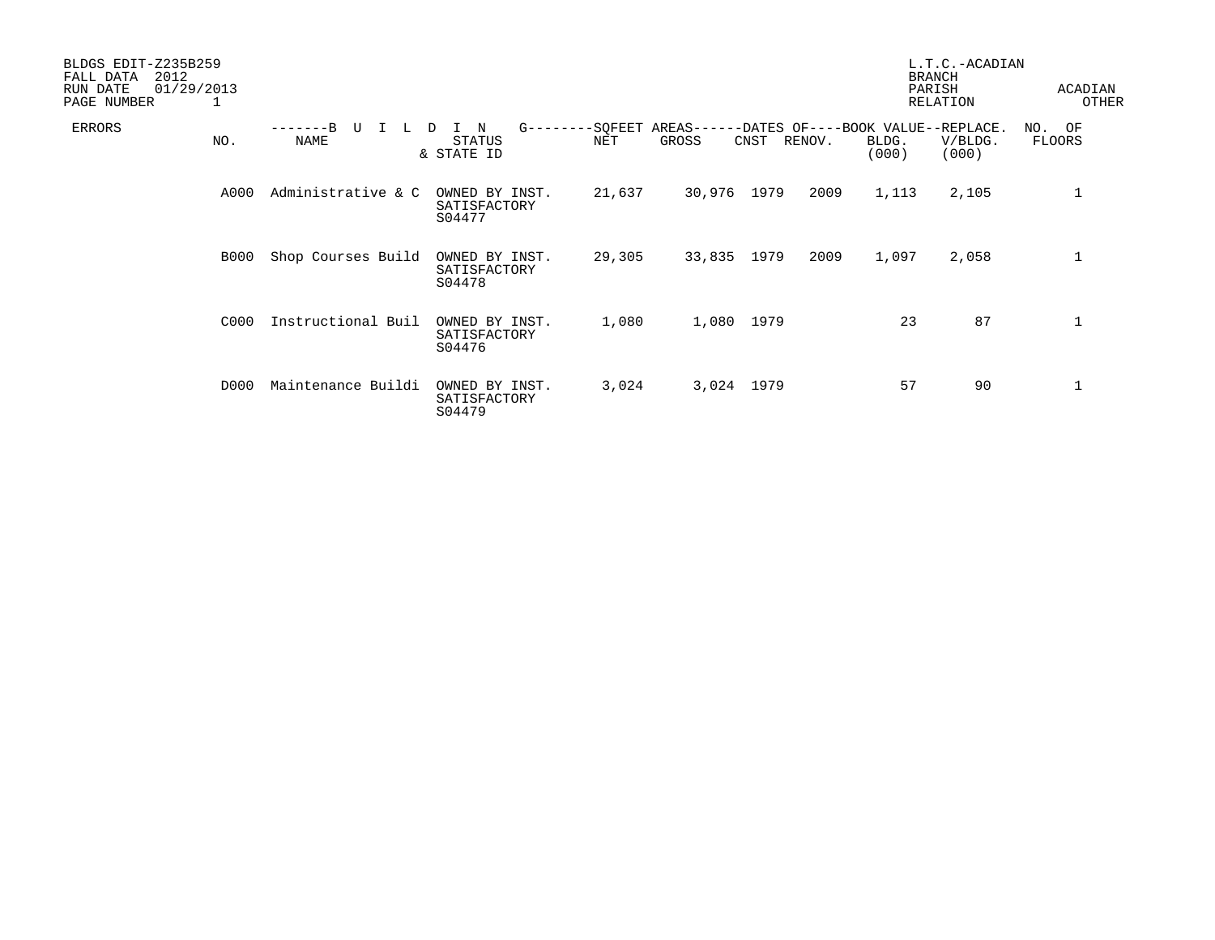| BLDGS EDIT-Z235B259<br>2012<br>FALL DATA<br>01/29/2013<br>RUN DATE<br>PAGE NUMBER | 1           |                           |                                          |                |                     |      |        |                | L.T.C.-ACADIAN<br><b>BRANCH</b><br>PARISH<br><b>RELATION</b> | ACADIAN<br>OTHER    |
|-----------------------------------------------------------------------------------|-------------|---------------------------|------------------------------------------|----------------|---------------------|------|--------|----------------|--------------------------------------------------------------|---------------------|
| <b>ERRORS</b>                                                                     | NO.         | $-R$<br>TT<br><b>NAME</b> | N<br>$G - -$<br>STATUS<br>& STATE ID     | -SQFEET<br>NET | $AREAS---$<br>GROSS | CNST | RENOV. | BLDG.<br>(000) | -DATES OF----BOOK VALUE--REPLACE.<br>V/BLDG.<br>(000)        | NO.<br>OF<br>FLOORS |
|                                                                                   | A000        | Administrative & C        | OWNED BY INST.<br>SATISFACTORY<br>S04477 | 21,637         | 30,976              | 1979 | 2009   | 1,113          | 2,105                                                        | $\mathbf 1$         |
|                                                                                   | <b>B000</b> | Shop Courses Build        | OWNED BY INST.<br>SATISFACTORY<br>S04478 | 29,305         | 33,835              | 1979 | 2009   | 1,097          | 2,058                                                        | 1                   |
|                                                                                   | C000        | Instructional Buil        | OWNED BY INST.<br>SATISFACTORY<br>S04476 | 1,080          | 1,080               | 1979 |        | 23             | 87                                                           | 1                   |
|                                                                                   | D000        | Maintenance Buildi        | OWNED BY INST.<br>SATISFACTORY<br>S04479 | 3,024          | 3,024 1979          |      |        | 57             | 90                                                           | $\mathbf 1$         |